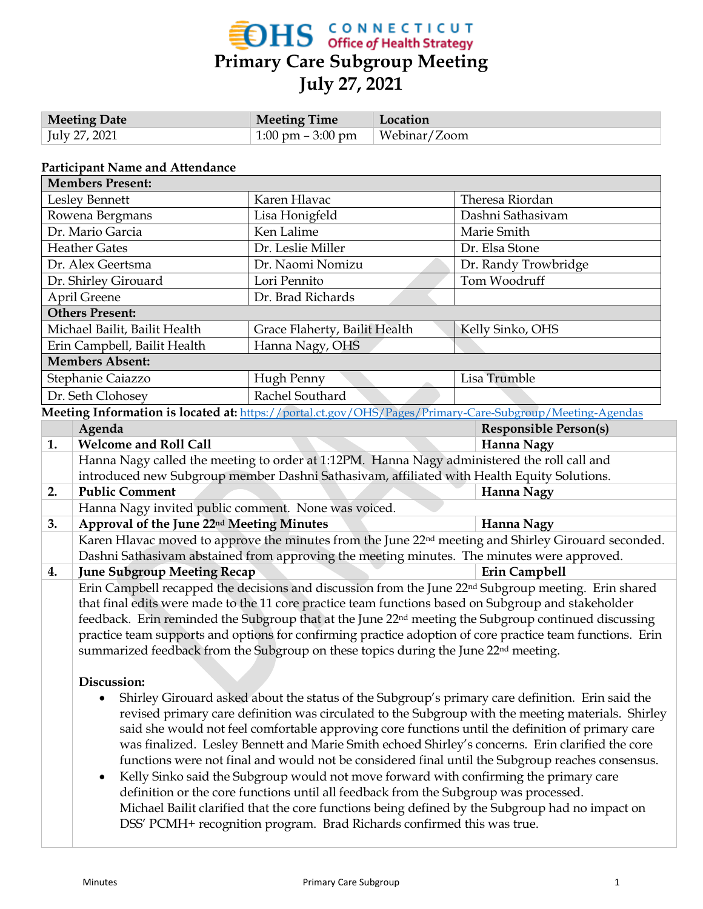

| <b>Meeting Date</b> | <b>Meeting Time</b>                   | Location |
|---------------------|---------------------------------------|----------|
| July 27, 2021       | $\pm 1.00$ pm $-3.00$ pm $\pm 1.00$ m |          |

#### **Participant Name and Attendance**

|                               | <b>Members Present:</b>                                                                                          |                                                                                                          |                                                                                                                  |  |  |  |
|-------------------------------|------------------------------------------------------------------------------------------------------------------|----------------------------------------------------------------------------------------------------------|------------------------------------------------------------------------------------------------------------------|--|--|--|
| Lesley Bennett                |                                                                                                                  | Karen Hlavac                                                                                             | Theresa Riordan                                                                                                  |  |  |  |
|                               | Rowena Bergmans                                                                                                  | Lisa Honigfeld                                                                                           | Dashni Sathasivam                                                                                                |  |  |  |
|                               | Dr. Mario Garcia                                                                                                 | Ken Lalime                                                                                               | Marie Smith                                                                                                      |  |  |  |
|                               | <b>Heather Gates</b>                                                                                             | Dr. Leslie Miller                                                                                        | Dr. Elsa Stone                                                                                                   |  |  |  |
| Dr. Alex Geertsma             |                                                                                                                  | Dr. Naomi Nomizu                                                                                         | Dr. Randy Trowbridge                                                                                             |  |  |  |
| Dr. Shirley Girouard          |                                                                                                                  | Lori Pennito                                                                                             | Tom Woodruff                                                                                                     |  |  |  |
|                               | April Greene                                                                                                     | Dr. Brad Richards                                                                                        |                                                                                                                  |  |  |  |
|                               | <b>Others Present:</b>                                                                                           |                                                                                                          |                                                                                                                  |  |  |  |
| Michael Bailit, Bailit Health |                                                                                                                  | Grace Flaherty, Bailit Health                                                                            | Kelly Sinko, OHS                                                                                                 |  |  |  |
|                               | Erin Campbell, Bailit Health                                                                                     | Hanna Nagy, OHS                                                                                          |                                                                                                                  |  |  |  |
| <b>Members Absent:</b>        |                                                                                                                  |                                                                                                          |                                                                                                                  |  |  |  |
|                               | Stephanie Caiazzo                                                                                                | Hugh Penny                                                                                               | Lisa Trumble                                                                                                     |  |  |  |
|                               | Dr. Seth Clohosey                                                                                                | Rachel Southard                                                                                          |                                                                                                                  |  |  |  |
|                               |                                                                                                                  | Meeting Information is located at: https://portal.ct.gov/OHS/Pages/Primary-Care-Subgroup/Meeting-Agendas |                                                                                                                  |  |  |  |
|                               | Agenda                                                                                                           |                                                                                                          | <b>Responsible Person(s)</b>                                                                                     |  |  |  |
| 1.                            | <b>Welcome and Roll Call</b>                                                                                     |                                                                                                          | Hanna Nagy                                                                                                       |  |  |  |
|                               | Hanna Nagy called the meeting to order at 1:12PM. Hanna Nagy administered the roll call and                      |                                                                                                          |                                                                                                                  |  |  |  |
|                               | introduced new Subgroup member Dashni Sathasivam, affiliated with Health Equity Solutions.                       |                                                                                                          |                                                                                                                  |  |  |  |
| 2.                            | <b>Public Comment</b>                                                                                            |                                                                                                          | Hanna Nagy                                                                                                       |  |  |  |
|                               | Hanna Nagy invited public comment. None was voiced.                                                              |                                                                                                          |                                                                                                                  |  |  |  |
| 3.                            | Approval of the June 22nd Meeting Minutes                                                                        |                                                                                                          | Hanna Nagy                                                                                                       |  |  |  |
|                               | Karen Hlavac moved to approve the minutes from the June 22 <sup>nd</sup> meeting and Shirley Girouard seconded.  |                                                                                                          |                                                                                                                  |  |  |  |
|                               |                                                                                                                  | Dashni Sathasivam abstained from approving the meeting minutes. The minutes were approved.               |                                                                                                                  |  |  |  |
| 4.                            | <b>June Subgroup Meeting Recap</b>                                                                               |                                                                                                          | Erin Campbell                                                                                                    |  |  |  |
|                               | Erin Campbell recapped the decisions and discussion from the June 22 <sup>nd</sup> Subgroup meeting. Erin shared |                                                                                                          |                                                                                                                  |  |  |  |
|                               |                                                                                                                  | that final edits were made to the 11 core practice team functions based on Subgroup and stakeholder      |                                                                                                                  |  |  |  |
|                               |                                                                                                                  |                                                                                                          | feedback. Erin reminded the Subgroup that at the June 22 <sup>nd</sup> meeting the Subgroup continued discussing |  |  |  |
|                               | practice team supports and options for confirming practice adoption of core practice team functions. Erin        |                                                                                                          |                                                                                                                  |  |  |  |
|                               | summarized feedback from the Subgroup on these topics during the June 22 <sup>nd</sup> meeting.                  |                                                                                                          |                                                                                                                  |  |  |  |
|                               |                                                                                                                  |                                                                                                          |                                                                                                                  |  |  |  |
|                               | Discussion:                                                                                                      |                                                                                                          |                                                                                                                  |  |  |  |
|                               |                                                                                                                  |                                                                                                          | Shirley Girouard asked about the status of the Subgroup's primary care definition. Erin said the                 |  |  |  |
|                               |                                                                                                                  |                                                                                                          | revised primary care definition was circulated to the Subgroup with the meeting materials. Shirley               |  |  |  |

- revised primary care definition was circulated to the Subgroup with the meeting materials. Shirley said she would not feel comfortable approving core functions until the definition of primary care was finalized. Lesley Bennett and Marie Smith echoed Shirley's concerns. Erin clarified the core functions were not final and would not be considered final until the Subgroup reaches consensus.
- Kelly Sinko said the Subgroup would not move forward with confirming the primary care definition or the core functions until all feedback from the Subgroup was processed. Michael Bailit clarified that the core functions being defined by the Subgroup had no impact on DSS' PCMH+ recognition program. Brad Richards confirmed this was true.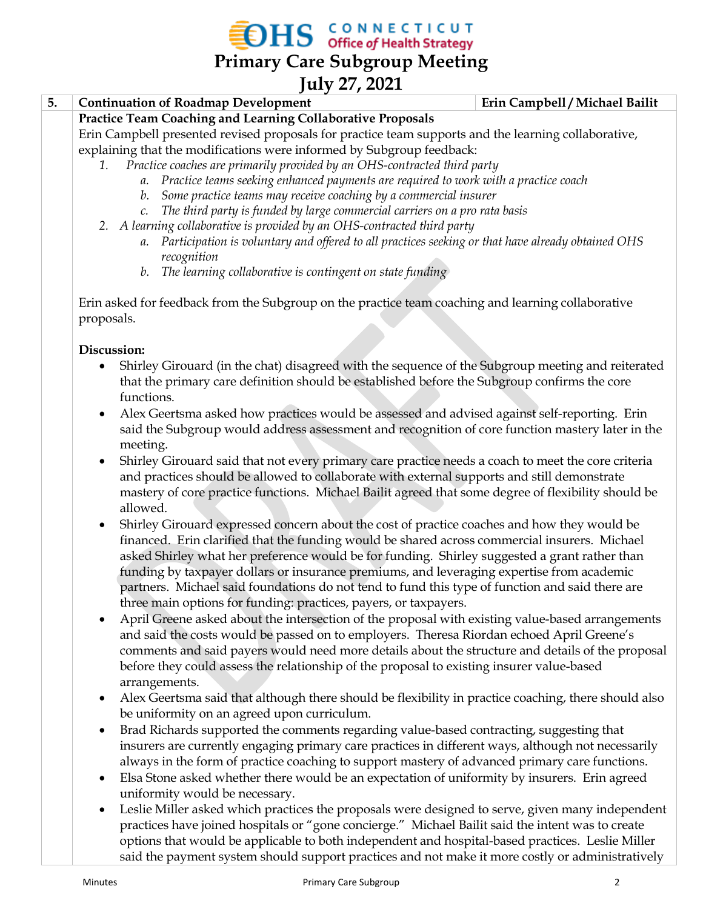**OHS** CONNECTICUT

**Primary Care Subgroup Meeting**

### **July 27, 2021**

### **5. Continuation of Roadmap Development Erin Campbell / Michael Bailit**

### **Practice Team Coaching and Learning Collaborative Proposals**

Erin Campbell presented revised proposals for practice team supports and the learning collaborative, explaining that the modifications were informed by Subgroup feedback:

- *1. Practice coaches are primarily provided by an OHS-contracted third party*
	- *a. Practice teams seeking enhanced payments are required to work with a practice coach*
	- *b. Some practice teams may receive coaching by a commercial insurer*
	- *c. The third party is funded by large commercial carriers on a pro rata basis*
- *2. A learning collaborative is provided by an OHS-contracted third party*
	- *a. Participation is voluntary and offered to all practices seeking or that have already obtained OHS recognition*
	- *b. The learning collaborative is contingent on state funding*

Erin asked for feedback from the Subgroup on the practice team coaching and learning collaborative proposals.

#### **Discussion:**

- Shirley Girouard (in the chat) disagreed with the sequence of the Subgroup meeting and reiterated that the primary care definition should be established before the Subgroup confirms the core functions.
- Alex Geertsma asked how practices would be assessed and advised against self-reporting. Erin said the Subgroup would address assessment and recognition of core function mastery later in the meeting.
- Shirley Girouard said that not every primary care practice needs a coach to meet the core criteria and practices should be allowed to collaborate with external supports and still demonstrate mastery of core practice functions. Michael Bailit agreed that some degree of flexibility should be allowed.
- Shirley Girouard expressed concern about the cost of practice coaches and how they would be financed. Erin clarified that the funding would be shared across commercial insurers. Michael asked Shirley what her preference would be for funding. Shirley suggested a grant rather than funding by taxpayer dollars or insurance premiums, and leveraging expertise from academic partners. Michael said foundations do not tend to fund this type of function and said there are three main options for funding: practices, payers, or taxpayers.
- April Greene asked about the intersection of the proposal with existing value-based arrangements and said the costs would be passed on to employers. Theresa Riordan echoed April Greene's comments and said payers would need more details about the structure and details of the proposal before they could assess the relationship of the proposal to existing insurer value-based arrangements.
- Alex Geertsma said that although there should be flexibility in practice coaching, there should also be uniformity on an agreed upon curriculum.
- Brad Richards supported the comments regarding value-based contracting, suggesting that insurers are currently engaging primary care practices in different ways, although not necessarily always in the form of practice coaching to support mastery of advanced primary care functions.
- Elsa Stone asked whether there would be an expectation of uniformity by insurers. Erin agreed uniformity would be necessary.
- Leslie Miller asked which practices the proposals were designed to serve, given many independent practices have joined hospitals or "gone concierge." Michael Bailit said the intent was to create options that would be applicable to both independent and hospital-based practices. Leslie Miller said the payment system should support practices and not make it more costly or administratively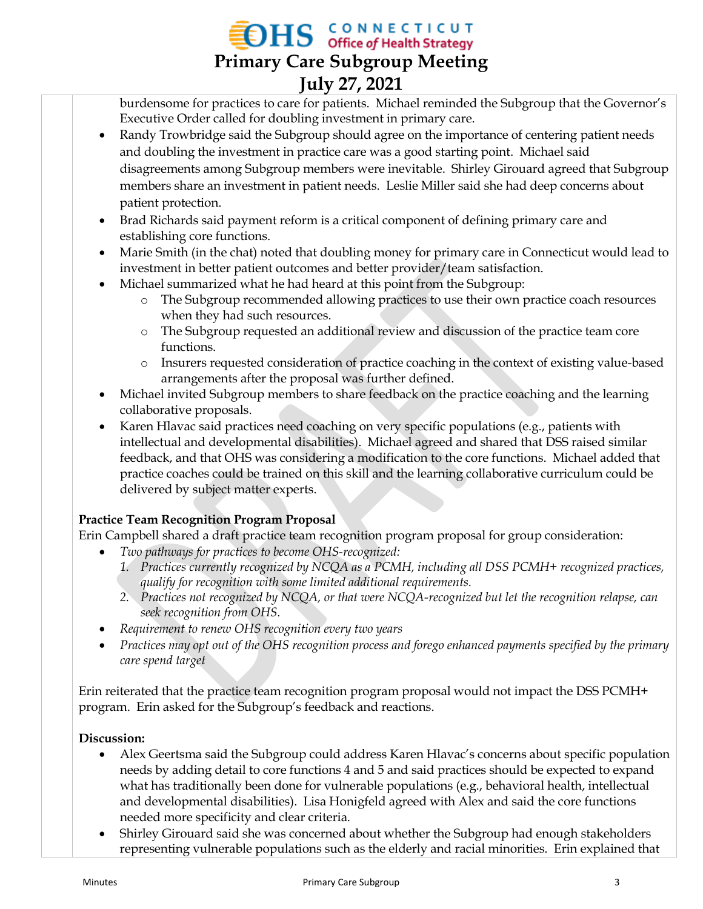# **OHS** CONNECTICUT **Primary Care Subgroup Meeting July 27, 2021**

burdensome for practices to care for patients. Michael reminded the Subgroup that the Governor's Executive Order called for doubling investment in primary care.

- Randy Trowbridge said the Subgroup should agree on the importance of centering patient needs and doubling the investment in practice care was a good starting point. Michael said disagreements among Subgroup members were inevitable. Shirley Girouard agreed that Subgroup members share an investment in patient needs. Leslie Miller said she had deep concerns about patient protection.
- Brad Richards said payment reform is a critical component of defining primary care and establishing core functions.
- Marie Smith (in the chat) noted that doubling money for primary care in Connecticut would lead to investment in better patient outcomes and better provider/team satisfaction.
- Michael summarized what he had heard at this point from the Subgroup:
	- o The Subgroup recommended allowing practices to use their own practice coach resources when they had such resources.
	- o The Subgroup requested an additional review and discussion of the practice team core functions.
	- o Insurers requested consideration of practice coaching in the context of existing value-based arrangements after the proposal was further defined.
- Michael invited Subgroup members to share feedback on the practice coaching and the learning collaborative proposals.
- Karen Hlavac said practices need coaching on very specific populations (e.g., patients with intellectual and developmental disabilities). Michael agreed and shared that DSS raised similar feedback, and that OHS was considering a modification to the core functions. Michael added that practice coaches could be trained on this skill and the learning collaborative curriculum could be delivered by subject matter experts.

### **Practice Team Recognition Program Proposal**

Erin Campbell shared a draft practice team recognition program proposal for group consideration:

- *Two pathways for practices to become OHS-recognized:*
	- *1. Practices currently recognized by NCQA as a PCMH, including all DSS PCMH+ recognized practices, qualify for recognition with some limited additional requirements.*
	- *2. Practices not recognized by NCQA, or that were NCQA-recognized but let the recognition relapse, can seek recognition from OHS.*
- *Requirement to renew OHS recognition every two years*
- *Practices may opt out of the OHS recognition process and forego enhanced payments specified by the primary care spend target*

Erin reiterated that the practice team recognition program proposal would not impact the DSS PCMH+ program. Erin asked for the Subgroup's feedback and reactions.

### **Discussion:**

- Alex Geertsma said the Subgroup could address Karen Hlavac's concerns about specific population needs by adding detail to core functions 4 and 5 and said practices should be expected to expand what has traditionally been done for vulnerable populations (e.g., behavioral health, intellectual and developmental disabilities). Lisa Honigfeld agreed with Alex and said the core functions needed more specificity and clear criteria.
- Shirley Girouard said she was concerned about whether the Subgroup had enough stakeholders representing vulnerable populations such as the elderly and racial minorities. Erin explained that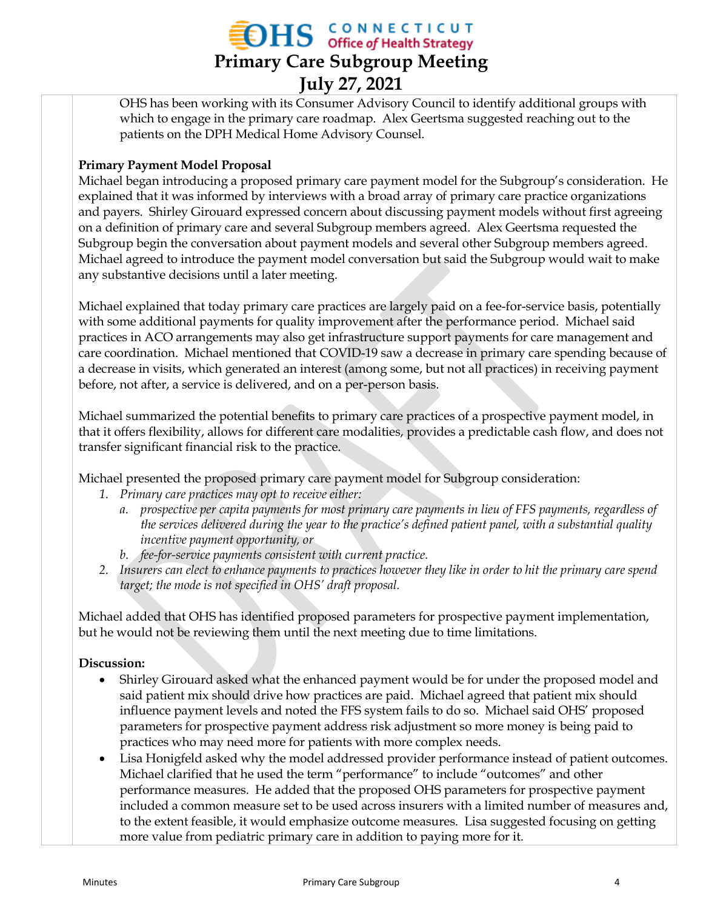# **OHS** CONNECTICUT **Primary Care Subgroup Meeting July 27, 2021**

OHS has been working with its Consumer Advisory Council to identify additional groups with which to engage in the primary care roadmap. Alex Geertsma suggested reaching out to the patients on the DPH Medical Home Advisory Counsel.

#### **Primary Payment Model Proposal**

Michael began introducing a proposed primary care payment model for the Subgroup's consideration. He explained that it was informed by interviews with a broad array of primary care practice organizations and payers. Shirley Girouard expressed concern about discussing payment models without first agreeing on a definition of primary care and several Subgroup members agreed. Alex Geertsma requested the Subgroup begin the conversation about payment models and several other Subgroup members agreed. Michael agreed to introduce the payment model conversation but said the Subgroup would wait to make any substantive decisions until a later meeting.

Michael explained that today primary care practices are largely paid on a fee-for-service basis, potentially with some additional payments for quality improvement after the performance period. Michael said practices in ACO arrangements may also get infrastructure support payments for care management and care coordination. Michael mentioned that COVID-19 saw a decrease in primary care spending because of a decrease in visits, which generated an interest (among some, but not all practices) in receiving payment before, not after, a service is delivered, and on a per-person basis.

Michael summarized the potential benefits to primary care practices of a prospective payment model, in that it offers flexibility, allows for different care modalities, provides a predictable cash flow, and does not transfer significant financial risk to the practice.

Michael presented the proposed primary care payment model for Subgroup consideration:

- *1. Primary care practices may opt to receive either:*
	- *a. prospective per capita payments for most primary care payments in lieu of FFS payments, regardless of the services delivered during the year to the practice's defined patient panel, with a substantial quality incentive payment opportunity, or*
	- *b. fee-for-service payments consistent with current practice.*
- *2. Insurers can elect to enhance payments to practices however they like in order to hit the primary care spend target; the mode is not specified in OHS' draft proposal.*

Michael added that OHS has identified proposed parameters for prospective payment implementation, but he would not be reviewing them until the next meeting due to time limitations.

#### **Discussion:**

- Shirley Girouard asked what the enhanced payment would be for under the proposed model and said patient mix should drive how practices are paid. Michael agreed that patient mix should influence payment levels and noted the FFS system fails to do so. Michael said OHS' proposed parameters for prospective payment address risk adjustment so more money is being paid to practices who may need more for patients with more complex needs.
- Lisa Honigfeld asked why the model addressed provider performance instead of patient outcomes. Michael clarified that he used the term "performance" to include "outcomes" and other performance measures. He added that the proposed OHS parameters for prospective payment included a common measure set to be used across insurers with a limited number of measures and, to the extent feasible, it would emphasize outcome measures. Lisa suggested focusing on getting more value from pediatric primary care in addition to paying more for it.